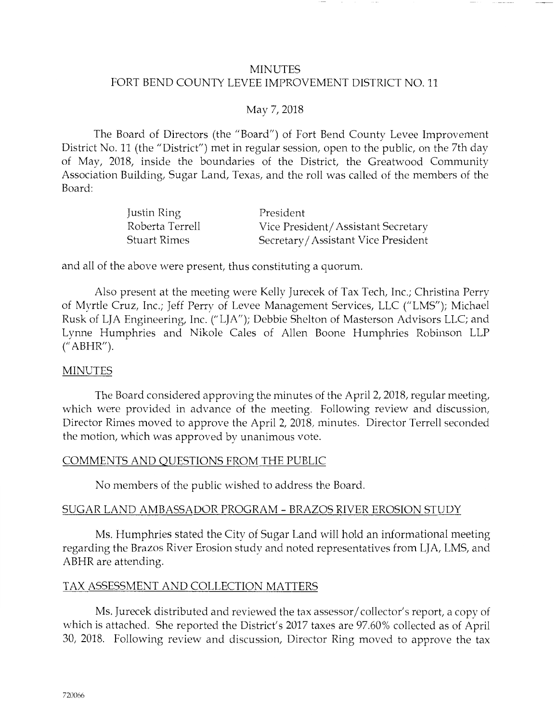#### **MINUTES** FORT BEND COUNTY LEVEE IMPROVEMENT DISTRICT NO. 11

#### May 7, 2018

The Board of Directors (the "Board") of Fort Bend County Levee Improvement District No. 11 (the "District") met in regular session, open to the public, on the 7th day of May, 2018, inside the boundaries of the District, the Greatwood Community Association Building, Sugar Land, Texas, and the roll was called of the members of the Board:

| Justin Ring     | President                          |
|-----------------|------------------------------------|
| Roberta Terrell | Vice President/Assistant Secretary |
| Stuart Rimes    | Secretary/Assistant Vice President |

and all of the above were present, thus constituting a quorum.

Also present at the meeting were Kelly Jurecek of Tax Tech, Inc.; Christina Perry of Myrtle Cruz, Inc.; Jeff Perry of Levee Management Services, LLC ("LMS"); Michael Rusk of LJA Engineering, Inc. ("LJA"); Debbie Shelton of Masterson Advisors LLC; and Lynne Humphries and Nikole Cales of Allen Boone Humphries Robinson LLP (" ABHR").

#### **MINUTES**

The Board considered approving the minutes of the April 2, 2018, regular meeting, which were provided in advance of the meeting. Following review and discussion, Director Rimes moved to approve the April 2, 2018, minutes. Director Terrell seconded the motion, which was approved by unanimous vote.

#### COMMENTS AND QUESTIONS FROM THE PUBLIC

No members of the public wished to address the Board.

#### SUGAR LAND AMBASSADOR PROGRAM - BRAZOS RIVER EROSION STUDY

Ms. Humphries stated the City of Sugar Land will hold an informational meeting regarding the Brazos River Erosion study and noted representatives from LJA, LMS, and ABHR are attending.

#### TAX ASSESSMENT AND COLLECTION MATTERS

Ms. Jurecek distributed and reviewed the tax assessor/ collector's report, a copy of which is attached. She reported the District's 2017 taxes are 97.60% collected as of April 30, 2018. Following review and discussion, Director Ring moved to approve the tax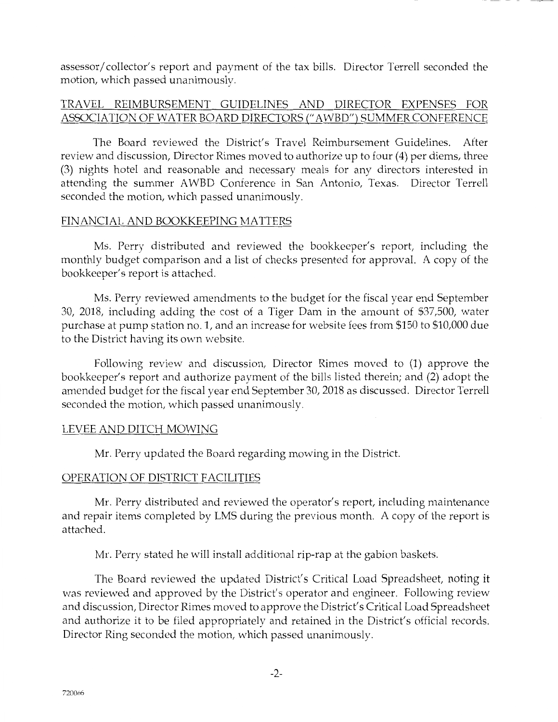assessor/ collector's report and payment of the tax bills. Director Terrell seconded the motion, which passed unanimously.

# TRAVEL REIMBURSEMENT GUIDELINES AND DIRECTOR EXPENSES FOR ASSOCIATION OF WATER BOARD DIRECTORS(" AWBD") SUMMER CONFERENCE

The Board reviewed the District's Travel Reimbursement Guidelines. After review and discussion, Director Rimes moved to authorize up to four (4) per diems, three (3) nights hotel and reasonable and necessary meals for any directors interested in attending the summer AWBD Conference in San Antonio, Texas. Director Terrell seconded the motion, which passed unanimously.

#### FINANCIAL AND BOOKKEEPING MATTERS

Ms. Perry distributed and reviewed the bookkeeper's report, including the monthly budget comparison and a list of checks presented for approval. A copy of the bookkeeper's report is attached.

Ms. Perry reviewed amendments to the budget for the fiscal year end September 30, 2018, including adding the cost of a Tiger Dam in the amount of \$37,500, water purchase at pump station no. 1, and an increase for website fees from \$150 to \$10,000 due to the District having its own website.

Following review and discussion, Director Rimes moved to (1) approve the bookkeeper's report and authorize payment of the bills listed therein; and (2) adopt the amended budget for the fiscal year end September 30, 2018 as discussed. Director Terrell seconded the motion, which passed unanimously.

# LEVEE AND DITCH MOWING

Mr. Perry updated the Board regarding mowing in the District.

# OPERATION OF DISTRICT FACILITIES

Mr. Perry distributed and reviewed the operator's report, including maintenance and repair items completed by LMS during the previous month. A copy of the report is attached.

Mr. Perry stated he will install additional rip-rap at the gabion baskets.

The Board reviewed the updated District's Critical Load Spreadsheet, noting it was reviewed and approved by the District's operator and engineer. Following review and discussion, Director Rimes moved to approve the District's Critical Load Spreadsheet and authorize it to be filed appropriately and retained in the District's official records. Director Ring seconded the motion, which passed unanimously.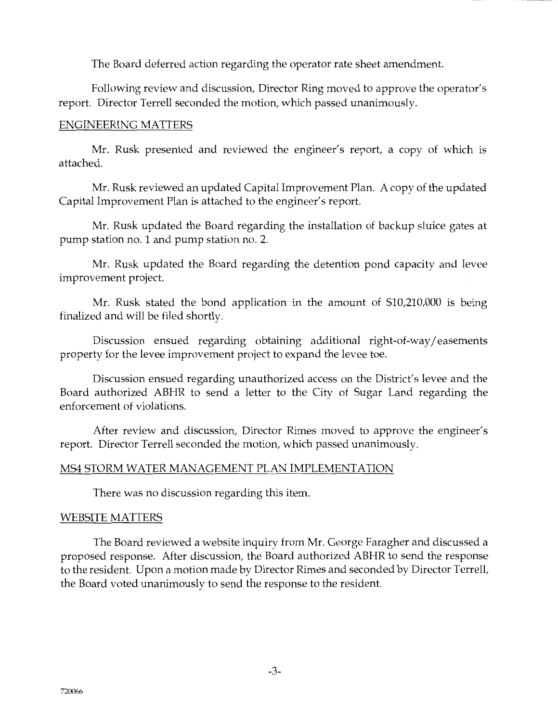The Board deferred action regarding the operator rate sheet amendment.

Following review and discussion, Director Ring moved to approve the operator's report. Director Terrell seconded the motion, which passed unanimously.

#### ENGINEERING MATTERS

Mr. Rusk presented and reviewed the engineer's report, a copy of which is attached.

Mr. Rusk reviewed an updated Capital Improvement Plan. A copy of the updated Capital Improvement Plan is attached to the engineer's report.

Mr. Rusk updated the Board regarding the installation of backup sluice gates at pump station no. 1 and pump station no. 2.

Mr. Rusk updated the Board regarding the detention pond capacity and levee improvement project.

Mr. Rusk stated the bond application in the amount of \$10,210,000 is being finalized and will be filed shortly.

Discussion ensued regarding obtaining additional right-of-way/ easements property for the levee improvement project to expand the levee toe.

Discussion ensued regarding unauthorized access on the District's levee and the Board authorized ABHR to send a letter to the City of Sugar Land regarding the enforcement of violations.

After review and discussion, Director Rimes moved to approve the engineer's report. Director Terrell seconded the motion, which passed unanimously.

# MS4 STORM WATER MANAGEMENT PLAN IMPLEMENTATION

There was no discussion regarding this item.

# WEBSITE MATTERS

The Board reviewed a website inquiry from Mr. George Faragher and discussed a proposed response. After discussion, the Board authorized ABHR to send the response to the resident. Upon a motion made by Director Rimes and seconded by Director Terrell, the Board voted unanimously to send the response to the resident.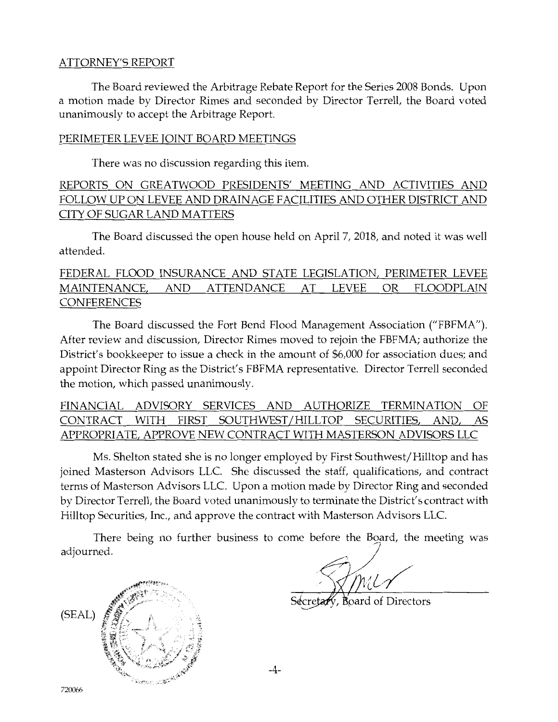#### ATTORNEY'S REPORT

The Board reviewed the Arbitrage Rebate Report for the Series 2008 Bonds. Upon a motion made by Director Rimes and seconded by Director Terrell, the Board voted unanimously to accept the Arbitrage Report.

#### PERIMETER LEVEE JOINT BOARD MEETINGS

There was no discussion regarding this item.

# REPORTS ON GREATWOOD PRESIDENTS' MEETING AND ACTIVITIES AND FOLLOW UP ON LEVEE AND DRAINAGE FACILITIES AND OTHER DISTRICT AND CITY OF SUGAR LAND MATTERS

The Board discussed the open house held on April 7, 2018, and noted it was well attended.

# FEDERAL FLOOD INSURANCE AND STATE LEGISLATION, PERIMETER LEVEE MAINTENANCE, AND ATTENDANCE AT LEVEE OR FLOODPLAIN CONFERENCES

The Board discussed the Fort Bend Flood Management Association ("FBFMA"). After review and discussion, Director Rimes moved to rejoin the FBFMA; authorize the District's bookkeeper to issue a check in the amount of \$6,000 for association dues; and appoint Director Ring as the District's FBFMA representative. Director Terrell seconded the motion, which passed unanimously.

FINANCIAL ADVISORY SERVICES AND AUTHORIZE TERMINATION OF CONTRACT WITH FIRST SOUTHWEST/HILLTOP SECURITIES, AND, AS APPROPRIATE, APPROVE NEW CONTRACT WITH MASTERSON ADVISORS LLC

Ms. Shelton stated she is no longer employed by First Southwest/Hilltop and has joined Masterson Advisors LLC. She discussed the staff, qualifications, and contract terms of Masterson Advisors LLC. Upon a motion made by Director Ring and seconded by Director Terrell, the Board voted unanimously to terminate the District's contract with Hilltop Securities, Inc., and approve the contract with Masterson Advisors LLC.

There being no further business to come before the Board, the meeting was adjourned. / •

į. ·0/ / / *,<1* IYll('f'

**Board of Directors** 



-4-